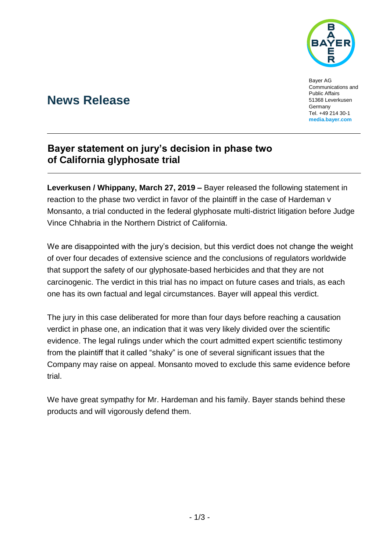

Bayer AG Communications and Public Affairs 51368 Leverkusen **Germany** Tel. +49 214 30-1 **[media.bayer.com](http://media.bayer.de/)**

# **News Release**

## **Bayer statement on jury's decision in phase two of California glyphosate trial**

**Leverkusen / Whippany, March 27, 2019 –** Bayer released the following statement in reaction to the phase two verdict in favor of the plaintiff in the case of Hardeman v Monsanto, a trial conducted in the federal glyphosate multi-district litigation before Judge Vince Chhabria in the Northern District of California.

We are disappointed with the jury's decision, but this verdict does not change the weight of over four decades of extensive science and the conclusions of regulators worldwide that support the safety of our glyphosate-based herbicides and that they are not carcinogenic. The verdict in this trial has no impact on future cases and trials, as each one has its own factual and legal circumstances. Bayer will appeal this verdict.

The jury in this case deliberated for more than four days before reaching a causation verdict in phase one, an indication that it was very likely divided over the scientific evidence. The legal rulings under which the court admitted expert scientific testimony from the plaintiff that it called "shaky" is one of several significant issues that the Company may raise on appeal. Monsanto moved to exclude this same evidence before trial.

We have great sympathy for Mr. Hardeman and his family. Bayer stands behind these products and will vigorously defend them.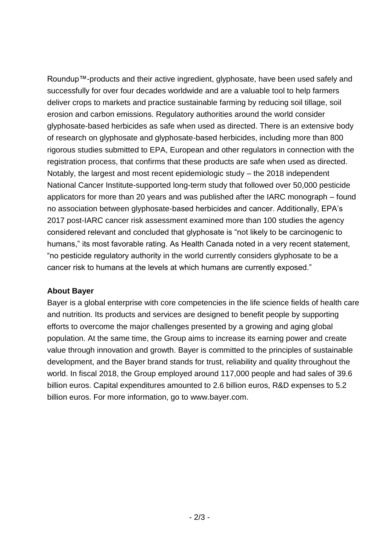Roundup™-products and their active ingredient, glyphosate, have been used safely and successfully for over four decades worldwide and are a valuable tool to help farmers deliver crops to markets and practice sustainable farming by reducing soil tillage, soil erosion and carbon emissions. Regulatory authorities around the world consider glyphosate-based herbicides as safe when used as directed. There is an extensive body of research on glyphosate and glyphosate-based herbicides, including more than 800 rigorous studies submitted to EPA, European and other regulators in connection with the registration process, that confirms that these products are safe when used as directed. Notably, the largest and most recent epidemiologic study – the 2018 independent National Cancer Institute-supported long-term study that followed over 50,000 pesticide applicators for more than 20 years and was published after the IARC monograph – found no association between glyphosate-based herbicides and cancer. Additionally, EPA's 2017 post-IARC cancer risk assessment examined more than 100 studies the agency considered relevant and concluded that glyphosate is "not likely to be carcinogenic to humans," its most favorable rating. As Health Canada noted in a very recent statement, "no pesticide regulatory authority in the world currently considers glyphosate to be a cancer risk to humans at the levels at which humans are currently exposed."

### **About Bayer**

Bayer is a global enterprise with core competencies in the life science fields of health care and nutrition. Its products and services are designed to benefit people by supporting efforts to overcome the major challenges presented by a growing and aging global population. At the same time, the Group aims to increase its earning power and create value through innovation and growth. Bayer is committed to the principles of sustainable development, and the Bayer brand stands for trust, reliability and quality throughout the world. In fiscal 2018, the Group employed around 117,000 people and had sales of 39.6 billion euros. Capital expenditures amounted to 2.6 billion euros, R&D expenses to 5.2 billion euros. For more information, go to [www.bayer.com.](http://www.bayer.com/)